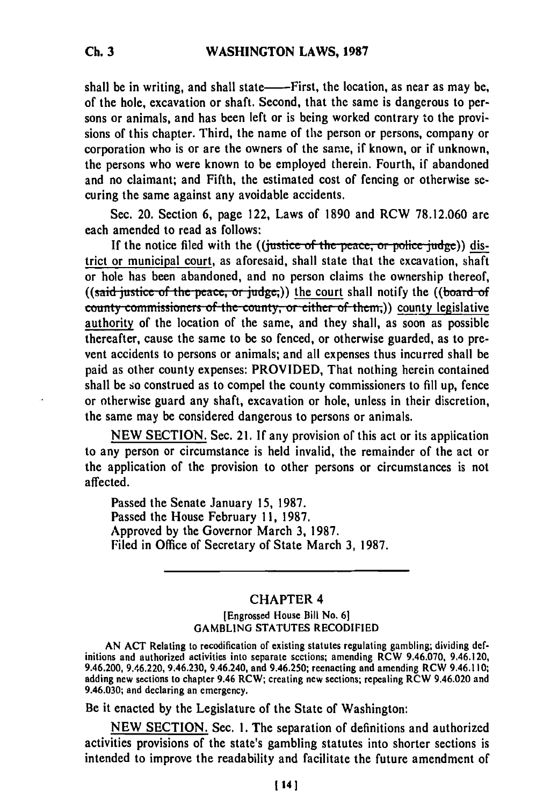shall be in writing, and shall state——First, the location, as near as may be, of the hole, excavation or shaft. Second, that the same is dangerous to persons or animals, and has been left or is being worked contrary to the provisions of this chapter. Third, the name of the person or persons, company or corporation who is or are the owners of the same, if known, or if unknown, the persons who were known to be employed therein. Fourth, if abandoned and no claimant; and Fifth, the estimated cost of fencing or otherwise securing the same against any avoidable accidents.

Sec. 20. Section **6,** page 122, Laws of **1890** and RCW **78.12.060** are each amended to read as follows:

If the notice filed with the ((*justice* of the peace, or police judge)) district or municipal court, as aforesaid, shall state that the excavation, shaft or hole has been abandoned, and no person claims the ownership thereof, **((said justice of the peace, or judge,)) the court shall notify the ((board of county commissioners of the county, or either of them.)** county legislative authority of the location of the same, and they shall, as soon as possible thereafter, cause the same to be so fenced, or otherwise guarded, as to prevent accidents to persons or animals; and all expenses thus incurred shall be paid as other county expenses: PROVIDED, That nothing herein contained shall be so construed as to compel the county commissioners to fill up, fence or otherwise guard any shaft, excavation or hole, unless in their discretion, the same may be considered dangerous to persons or animals.

NEW SECTION. Sec. 21. If any provision of this act or its application to any person or circumstance is held invalid, the remainder of the act or the application of the provision to other persons or circumstances is not affected.

Passed the Senate January 15, 1987. Passed the House February 11, 1987. Approved by the Governor March 3, 1987. Filed in Office of Secretary of State March 3, 1987.

## CHAPTER 4

## (Engrossed House Bill **No. 61** GAMBLING **STATUTES** RECODIFIED

AN ACT Relating to recodification of existing statutes regulating gambling; dividing definitions and activities into section and activities into section sections; and activities in the section of existing statutes regulating gambing; any only defined as initions and authorized activities into separate sections; amending RCW 9.46.070, 9.46.120, 9.46.200, 9.46.220, 9.46.230, 9.46.240, and 9.46.250; reenacting and amending RCW 9.46.110; adding new sections to chapter 9.46 RCW; creating new sections; repealing RCW 9.46.020 and 9.46.020 and ecclaring an emergency.

Be it enacted by the Legislature of the State of Washington:

NEW SECTION. Sec. 1. The separation of definitions and authorized activities provisions of the state's gambling statutes into shorter sections is intended to improve the readability and facilitate the future amendment of

**Ch. 3**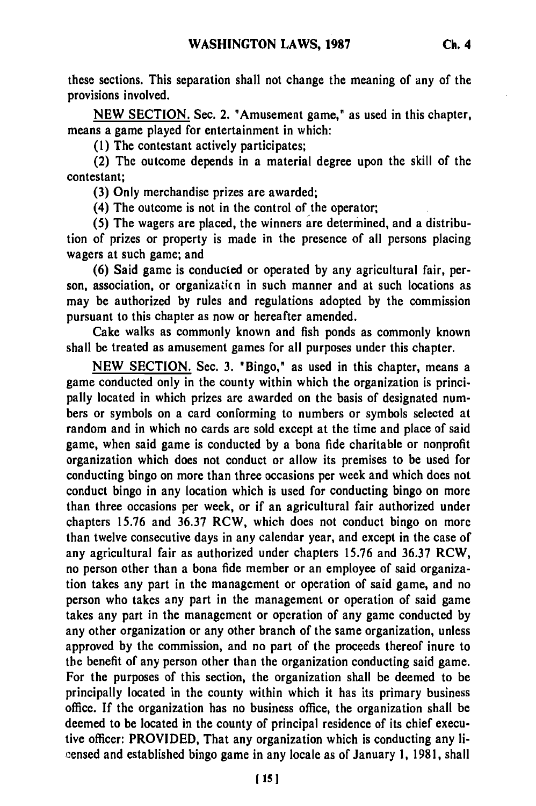these sections. This separation shall not change the meaning of any of the provisions involved.

**NEW** SECTION. Sec. 2. "Amusement game," as used in this chapter, means a game played for entertainment in which:

**(1)** The contestant actively participates;

(2) The outcome depends in a material degree upon the skill of the contestant;

**(3)** Only merchandise prizes are awarded;

(4) The outcome is not in the control of the operator;

**(5)** The wagers are placed, the winners are determined, and a distribution of prizes or property is made in the presence of all persons placing wagers at such game; and

**(6)** Said game is conducted or operated **by** any agricultural fair, person, association, or organizaticn in such manner and at such locations as may be authorized **by** rules and regulations adopted **by** the commission pursuant to this chapter as now or hereafter amended.

Cake walks as commonly known and fish ponds as commonly known shall be treated as amusement games for all purposes under this chapter.

**NEW SECTION.** Sec. **3.** "Bingo," as used in this chapter, means a game conducted only in the county within which the organization is principally located in which prizes are awarded on the basis of designated numbers or symbols on a card conforming to numbers or symbols selected at random and in which no cards are sold except at the time and place of said game, when said game is conducted **by** a bona fide charitable or nonprofit organization which does not conduct or allow its premises to be used for conducting bingo on more than three occasions per week and which does not conduct bingo in any location which is used for conducting bingo on more than three occasions per week, or if an agricultural fair authorized under chapters **15.76** and **36.37** RCW, which does not conduct bingo on more than twelve consecutive days in any calendar year, and except in the case of any agricultural fair as authorized under chapters **15.76** and **36.37** RCW, no person other than a bona fide member or an employee of said organization takes any part in the management or operation of said game, and no person who takes any part in the management or operation of said game takes any part in the management or operation of any game conducted **by** any other organization or any other branch of the same organization, unless approved **by** the commission, and no part of the proceeds thereof inure to the benefit of any person other than the organization conducting said game. For the purposes of this section, the organization shall be deemed to be principally located in the county within which it has its primary business office. **If** the organization has no business office, the organization shall be deemed to be located in the county of principal residence of its chief executive officer: PROVIDED, That any organization which is conducting any licensed and established bingo game in any locale as of January **1, 1981,** shall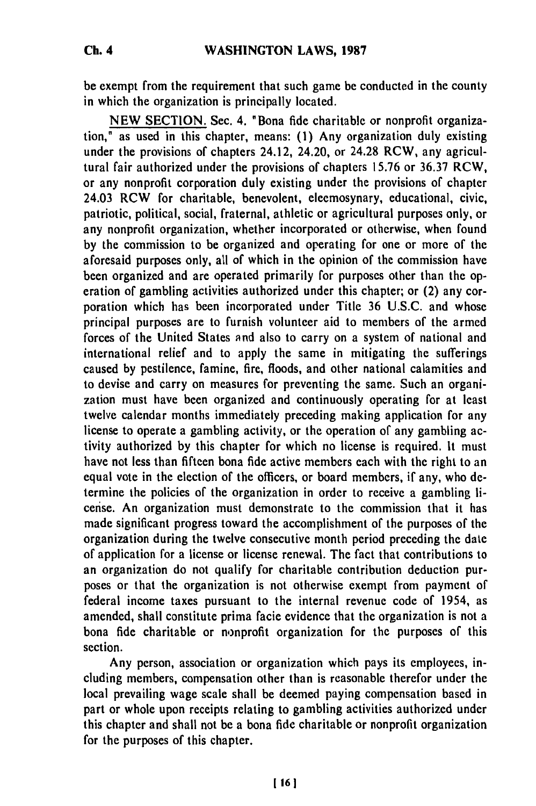be exempt from the requirement that such game be conducted in the county in which the organization is principally located.

**NEW SECTION.** Sec. 4. "Bona fide charitable or nonprofit organization," as used in this chapter, means: **(1)** Any organization duly existing under the provisions of chapters 24.12, 24.20, or 24.28 RCW, any agricultural fair authorized under the provisions of chapters **15.76** or **36.37** RCW, or any nonprofit corporation duly existing under the provisions of chapter 24.03 RCW for charitable, benevolent, eleemosynary, educational, civic, patriotic, political, social, fraternal, athletic or agricultural purposes only, or any nonprofit organization, whether incorporated or otherwise, when found **by** the commission to be organized and operating for one or more of the aforesaid purposes only, all of which in the opinion of the commission have been organized and are operated primarily for purposes other than the operation of gambling activities authorized under this chapter; or (2) any corporation which has been incorporated under Title **36** U.S.C. and whose principal purposes are to furnish volunteer aid to members of the armed forces of the United States and also to carry on a system of national and international relief and to apply the same in mitigating the sufferings caused **by** pestilence, famine, fire, floods, and other national calamities and to devise and carry on measures for preventing the same. Such an organization must have been organized and continuously operating for at least twelve calendar months immediately preceding making application for any license to operate a gambling activity, or the operation of any gambling activity authorized **by** this chapter for which no license is required. It must have not less than fifteen bona fide active members each with the right to an equal vote in the election of the officers, or board members, if any, who determine the policies of the organization in order to receive a gambling license. An organization must demonstrate to the commission that it has made significant progress toward the accomplishment of the purposes of the organization during the twelve consecutive month period preceding the date of application for a license or license renewal. The fact that contributions to an organization do not qualify for charitable contribution deduction purposes or that the organization is not otherwise exempt from payment of federal income taxes pursuant to the internal revenue code of 1954, as amended, shall constitute prima facie evidence that the organization is not a bona fide charitable or nonprofit organization for the purposes of this section.

Any person, association or organization which pays its employees, including members, compensation other than is reasonable therefor under the local prevailing wage scale shall be deemed paying compensation based in part or whole upon receipts relating to gambling activities authorized under this chapter and shall not be a bona fide charitable or nonprofit organization for the purposes of this chapter.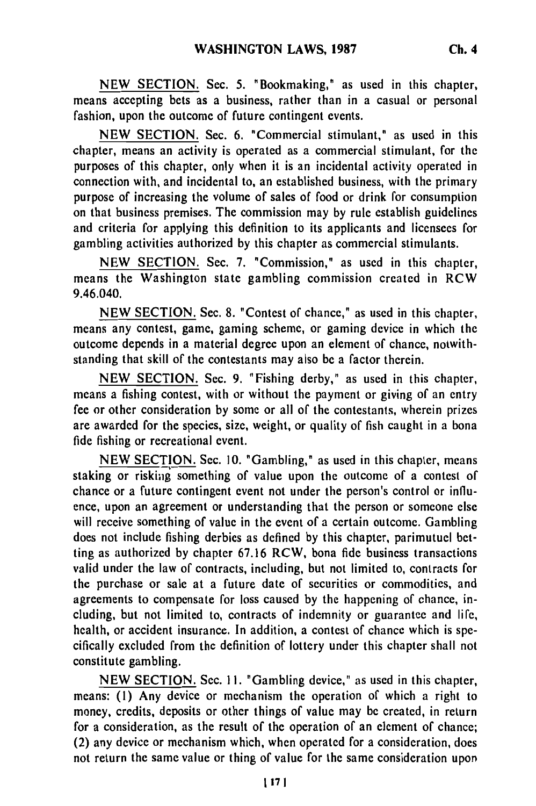**NEW** SECTION. Sec. **5.** "Bookmaking," as used in this chapter, means accepting bets as a business, rather than in a casual or personal fashion, upon the outcome of future contingent events.

**NEW SECTION.** Sec. **6.** "Commercial stimulant," as used in this chapter, means an activity is operated as a commercial stimulant, for the purposes of this chapter, only when it is an incidental activity operated in connection with, and incidental to, an established business, with the primary purpose of increasing the volume of sales of food or drink for consumption on that business premises. The commission may **by** rule establish guidelines and criteria for applying this definition to its applicants and licensees for gambling activities authorized **by** this chapter as commercial stimulants.

**NEW SECTION.** Sec. **7.** "Commission," as used in this chapter, means the Washington state gambling commission created in RCW 9.46.040.

**NEW** SECTION. Sec. 8. "Contest of chance," as used in this chapter, means any contest, game, gaming scheme, or gaming device in which the outcome depends in a material degree upon an element of chance, notwithstanding that skill of the contestants may also be a factor therein.

NEW SECTION. Sec. 9. "Fishing derby," as used in this chapter, means a fishing contest, with or without the payment or giving of an entry fee or other consideration by some or all of the contestants, wherein prizes are awarded for the species, size, weight, or quality of fish caught in a bona fide fishing or recreational event.

NEW SECTION. Sec. 10. "Gambling," as used in this chapter, means staking or risking something of value upon the outcome of a contest of chance or a future contingent event not under the person's control or influence, upon an agreement or understanding that the person or someone else will receive something of value in the event of a certain outcome. Gambling does not include fishing derbies as defined by this chapter, parimutuel betting as authorized by chapter 67.16 RCW, bona fide business transactions valid under the law of contracts, including, but not limited to, contracts for the purchase or sale at a future date of securities or commodities, and agreements to compensate for loss caused by the happening of chance, including, but not limited to, contracts of indemnity or guarantee and life, health, or accident insurance. In addition, a contest of chance which is specifically excluded from the definition of lottery under this chapter shall not constitute gambling.

NEW SECTION. Sec. **11.** "Gambling device," as used in this chapter, means: **(1)** Any device or mechanism the operation of which a right to money, credits, deposits or other things of value may be created, in return for a consideration, as the result of the operation of an element of chance; (2) any device or mechanism which, when operated for a consideration, does not return the same value or thing of value for the same consideration upon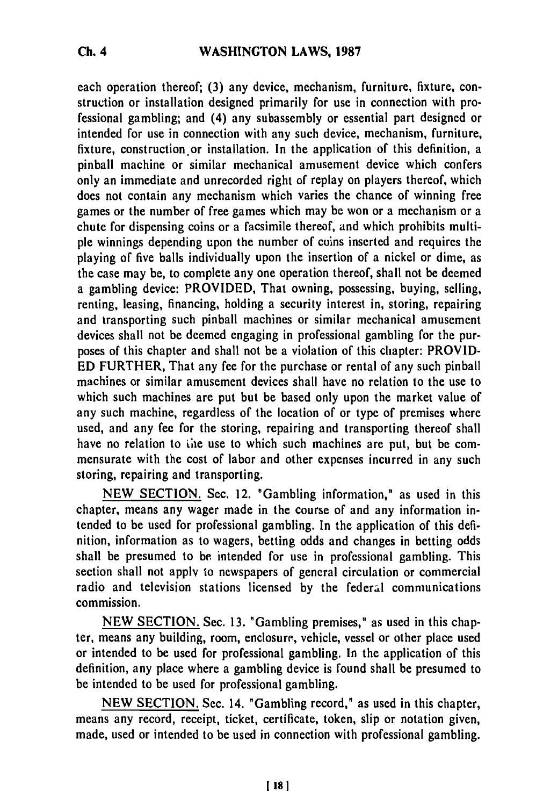each operation thereof; **(3)** any device, mechanism, furniture, fixture, construction or installation designed primarily for use in connection with professional gambling; and (4) any subassembly or essential part designed or intended for use in connection with any such device, mechanism, furniture, fixture, construction or installation. In the application of this definition, a pinball machine or similar mechanical amusement device which confers only an immediate and unrecorded right of replay on players thereof, which does not contain any mechanism which varies the chance of winning free games or the number of free games which may be won or a mechanism or a chute for dispensing coins or a facsimile thereof, and which prohibits multiple winnings depending upon the number of coins inserted and requires the playing of five balls individually upon the insertion of a nickel or dime, as the case may be, to complete any one operation thereof, shall not be deemed a gambling device: PROVIDED, That owning, possessing, buying, selling, renting, leasing, financing, holding a security interest in, storing, repairing and transporting such pinball machines or similar mechanical amusement devices shall not be deemed engaging in professional gambling for the purposes of this chapter and shall not be a violation of this chapter: PROVID-ED FURTHER, That any fee for the purchase or rental of any such pinball machines or similar amusement devices shall have no relation to the use to which such machines are put but be based only upon the market value of any such machine, regardless of the location of or type of premises where used, and any fee for the storing, repairing and transporting thereof shall have no relation to the use to which such machines are put, but be commensurate with the cost of labor and other expenses incurred in any such storing, repairing and transporting.

NEW SECTION. Sec. 12. 'Gambling information," as used in this chapter, means any wager made in the course of and any information intended to be used for professional gambling. In the application of this definition, information as to wagers, betting odds and changes in betting odds shall be presumed to **be** intended for use in professional gambling. This section shall not apply to newspapers of general circulation or commercial radio and television stations licensed by the federal communications commission.

NEW SECTION. Sec. 13. "Gambling premises," as used in this chapter, means any building, room, enclosure., vehicle, vessel or other place used or intended to be used for professional gambling. In the application of this definition, any place where a gambling device is found shall be presumed to be intended to be used for professional gambling.

NEW SECTION. Sec. 14. "Gambling record," as used in this chapter, means any record, receipt, ticket, certificate, token, slip or notation given, made, used or intended to be used in connection with professional gambling.

**Ch.** 4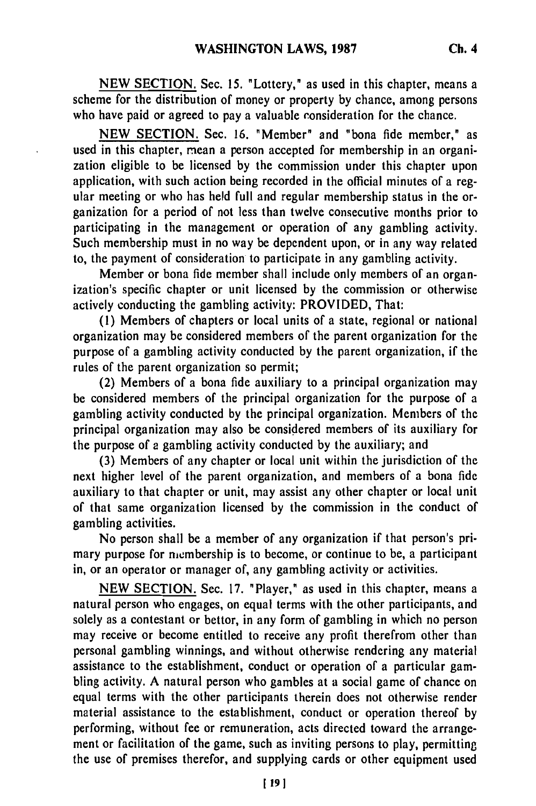**NEW** SECTION. Sec. **15.** "Lottery," as used in this chapter, means a scheme for the distribution of money or property by chance, among persons who have paid or agreed to pay a valuable consideration for the chance.

NEW SECTION. Sec. 16. "Member" and "bona fide member," as used in this chapter, mean a person accepted for membership in an organization eligible to be licensed by the commission under this chapter upon application, with such action being recorded in the official minutes of a regular meeting or who has held full and regular membership status in the organization for a period of not less than twelve consecutive months prior to participating in the management or operation of any gambling activity. Such membership must in no way be dependent upon, or in any way related to, the payment of consideration to participate in any gambling activity.

Member or bona fide member shall include only members of an organization's specific chapter or unit licensed by the commission or otherwise actively conducting the gambling activity: PROVIDED, That:

(I) Members of chapters or local units of a state, regional or national organization may be considered members of the parent organization for the purpose of a gambling activity conducted by the parent organization, if the rules of the parent organization so permit;

(2) Members of a bona fide auxiliary to a principal organization may be considered members of the principal organization for the purpose of a gambling activity conducted by the principal organization. Members of the principal organization may also be considered members of its auxiliary for the purpose of a gambling activity conducted by the auxiliary; and

(3) Members of any chapter or local unit within the jurisdiction of the next higher level of the parent organization, and members of a bona fide auxiliary to that chapter or unit, may assist any other chapter or local unit of that same organization licensed by the commission in the conduct of gambling activities.

No person shall be a member of any organization if that person's primary purpose for membership is to become, or continue to be, a participant in, or an operator or manager of, any gambling activity or activities.

NEW SECTION. Sec. 17. "Player," as used in this chapter, means a natural person who engages, on equal terms with the other participants, and solely as a contestant or bettor, in any form of gambling in which no person may receive or become entitled to receive any profit therefrom other than personal gambling winnings, and without otherwise rendering any material assistance to the establishment, conduct or operation of a particular gambling activity. A natural person who gambles at a social game of chance on equal terms with the other participants therein does not otherwise render material assistance to the establishment, conduct or operation thereof by performing, without fee or remuneration, acts directed toward the arrangement or facilitation of the game, such as inviting persons to play, permitting the use of premises therefor, and supplying cards or other equipment used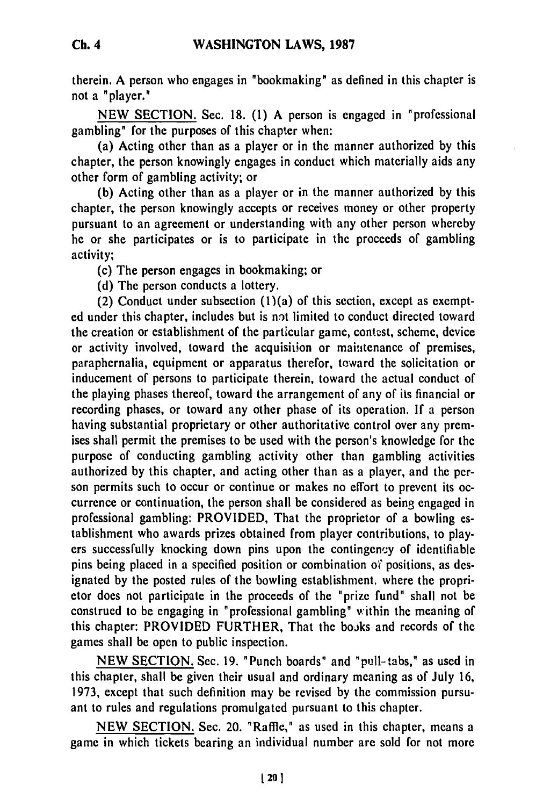therein. A person who engages in "bookmaking" as defined in this chapter is not a "player."

**NEW SECTION.** Sec. **18. (1)** A person is engaged in "professional gambling" for the purposes of this chapter when:

(a) Acting other than as a player or in the manner authorized **by** this chapter, the person knowingly engages in conduct which materially aids any other form of gambling activity; or

**(b)** Acting other than as a player or in the manner authorized **by** this chapter, the person knowingly accepts or receives money or other property pursuant to an agreement or understanding with any other person whereby he or she participates or is to participate in the proceeds of gambling activity;

(c) The person engages in bookmaking; or

**(d)** The person conducts a lottery.

(2) Conduct under subsection  $(1)(a)$  of this section, except as exempted under this chapter, includes but is not limited to conduct directed toward the creation or establishment of the particular game, contcst, scheme, device or activity involved, toward the acquisition or maintenance of premises, paraphernalia, equipment or apparatus therefor, toward the solicitation or inducement of persons to participate therein, toward the actual conduct of the playing phases thereof, toward the arrangement of any of its financial or recording phases, or toward any other phase of its operation. **If** a person having substantial proprietary or other authoritative control over any premises shall permit the premises to be used with the person's knowledge for the purpose of conducting gambling activity other than gambling activities authorized **by** this chapter, and acting other than as a player, and the person permits such to occur or continue or makes no effort to prevent its occurrence or continuation, the person shall be considered as being engaged in professional gambling: PROVIDED, That the proprietor of a bowling establishment who awards prizes obtained from player contributions, to players successfully knocking down pins upon the contingency of identifiable pins being placed in a specified position or combination of positions, as designated by the posted rules of the bowling establishment, where the proprietor does not participate in the proceeds of the "prize fund" shall not be construed to be engaging in "professional gambling" within the meaning of this chapter: PROVIDED FURTHER, That the books and records of the games shall be open to public inspection.

NEW SECTION. Sec. 19. "Punch boards" and "pull-tabs," as used in this chapter, shall be given their usual and ordinary meaning as of July 16, 1973, except that such definition may be revised by the commission pursuant to rules and regulations promulgated pursuant to this chapter.

NEW SECTION. Sec. 20. "Raffle," as used in this chapter, means a game in which tickets bearing an individual number are sold for not more

**Ch.** 4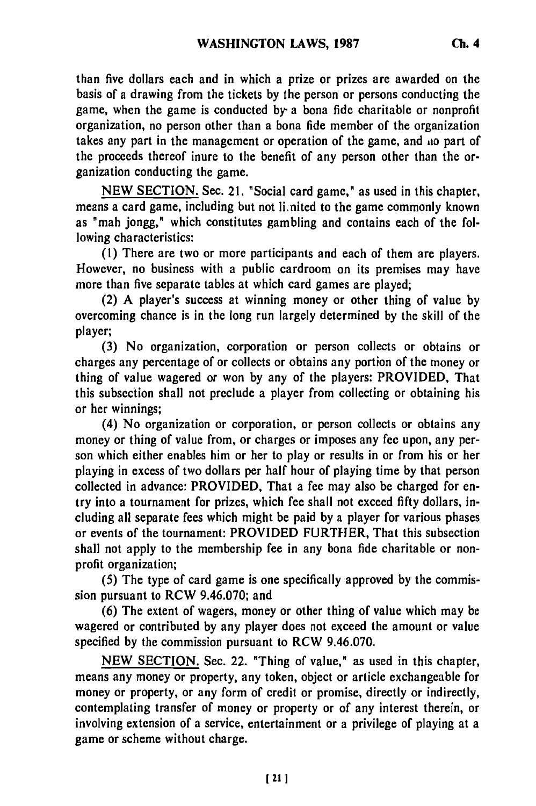than five dollars each and in which a prize or prizes are awarded on the basis of a drawing from the tickets **by** the person or persons conducting the game, when the game is conducted **by-** a bona fide charitable or nonprofit organization, no person other than a bona fide member of the organization takes any part in the management or operation of the game, and io part of the proceeds thereof inure to the benefit of any person other than the organization conducting the game.

**NEW SECTION.** Sec. 21. "Social card game," as used in this chapter, means a card game, including but not linited to the game commonly known as "mah jongg," which constitutes gambling and contains each of the following characteristics:

**(1)** There are two or more participants and each of them are players. However, no business with a public cardroom on its premises may have more than five separate tables at which card games are played;

(2) **A** player's success at winning money or other thing of value **by** overcoming chance is in the long run largely determined **by** the skill of the player;

**(3)** No organization, corporation or person collects or obtains or charges any percentage of or collects or obtains any portion of the money or thing of value wagered or won **by** any of the players: PROVIDED, That this subsection shall not preclude a player from collecting or obtaining his or her winnings;

(4) No organization or corporation, or person collects or obtains any money or thing of value from, or charges or imposes any fee upon, any person which either enables him or her to play or results in or from his or her playing in excess of two dollars per half hour of playing time **by** that person collected in advance: PROVIDED, That a fee may also be charged for entry into a tournament for prizes, which fee shall not exceed **fifty** dollars, including all separate fees which might be paid **by** a player for various phases or events of the tournament: PROVIDED FURTHER, That this subsection shall not apply to the membership fee in any bona fide charitable or nonprofit organization;

**(5)** The type of card game is one specifically approved **by** the commission pursuant to RCW **9.46.070;** and

**(6)** The extent of wagers, money or other thing of value which may be wagered or contributed **by** any player does not exceed the amount or value specified **by** the commission pursuant to RCW **9.46.070.**

**NEW** SECTION. Sec. 22. "Thing of value," as used in this chapter, means any money or property, any token, object or article exchangeable for money or property, or any form of credit or promise, directly or indirectly, contemplating transfer of money or property or of any interest therein, or involving extension of a service, entertainment or a privilege of playing at a game or scheme without charge.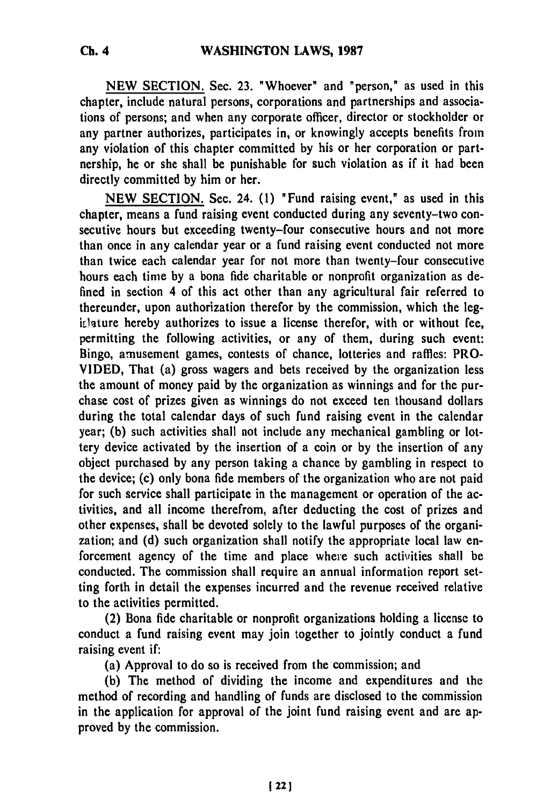**NEW SECTION.** Sec. 23. "Whoever" and "person," as used in this chapter, include natural persons, corporations and partnerships and associations of persons; and when any corporate officer, director or stockholder or any partner authorizes, participates in, or knowingly accepts benefits from any violation of this chapter committed **by** his or her corporation or partnership, he or she shall be punishable for such violation as if it had been directly committed **by** him or her.

**NEW SECTION.** Sec. 24. **(1)** "Fund raising event," as used in this chapter, means a fund raising event conducted during any seventy-two consecutive hours but exceeding twenty-four consecutive hours and not more than once in any calendar year or a fund raising event conducted not more than twice each calendar year for not more than twenty-four consecutive hours each time **by** a bona fide charitable or nonprofit organization as defined in section 4 of this act other than any agricultural fair referred to thereunder, upon authorization therefor **by** the commission, which the legitlature hereby authorizes to issue a license therefor, with or without fee, permitting the following activities, or any of them, during such event: Bingo, amusement games, contests of chance, lotteries and raffles: PRO-**VIDED,** That (a) gross wagers and bets received **by** the organization less the amount of money paid **by** the organization as winnings and for the purchase cost of prizes given as winnings do not exceed ten thousand dollars during the total calendar days of such fund raising event in the calendar year; **(b)** such activities shall not include any mechanical gambling or lottery device activated **by** the insertion of a coin or **by** the insertion of any object purchased **by** any person taking a chance **by** gambling in respect to the device; (c) only bona fide members of the organization who are not paid for such service shall participate in the management or operation of the activities, and all income therefrom, after deducting the cost of prizes and other expenses, shall be devoted solely to the lawful purposes of the organization; and **(d)** such organization shall notify the appropriate local law enforcement agency of the time and place where such activities shall be conducted. The commission shall require an annual information report setting forth in detail the expenses incurred and the revenue received relative to the activities permitted.

(2) Bona fide charitable or nonprofit organizations holding a license to conduct a fund raising event may join together to jointly conduct a fund raising event if:

(a) Approval to do so is received from the commission; and

**(b)** The method of dividing the income and expenditures and the method of recording and handling of funds are disclosed to the commission in the application for approval of the joint fund raising event and are approved **by** the commission.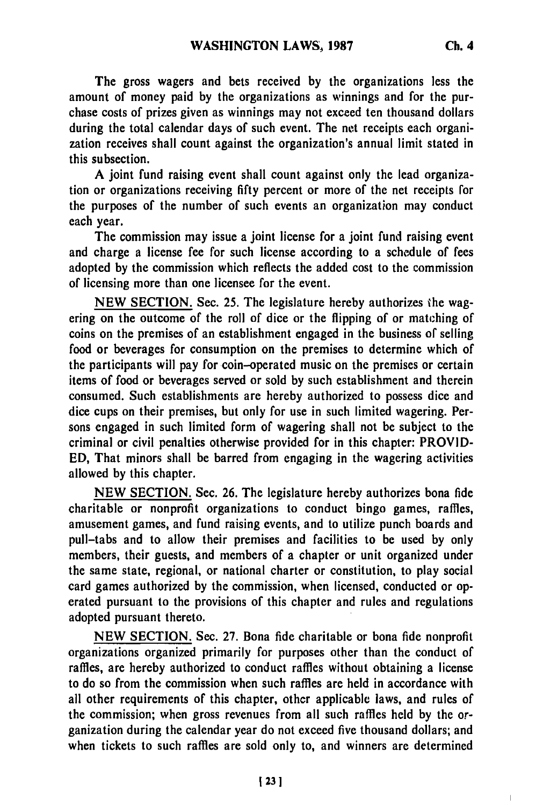**The** gross wagers and bets received **by** the organizations less the amount of money paid **by** the organizations as winnings and for the purchase costs of prizes given as winnings may not exceed ten thousand dollars during the total calendar days of such event. The net receipts each organization receives shall count against the organization's annual limit stated in this subsection.

A joint fund raising event shall count against only the lead organization or organizations receiving **fifty** percent or more of the net receipts for the purposes of the number of such events an organization may conduct each year.

The commission may issue a joint license for a joint fund raising event and charge a license fee for such license according to a schedule of fees adopted **by** the commission which reflects the added cost to the commission of licensing more than one licensee for the event.

**NEW SECTION.** Sec. **25.** The legislature hereby authorizes the wagering on the outcome of the roll of dice or the flipping of or matching of coins on the premises of an establishment engaged in the business **of** selling food or beverages for consumption on the premises to determine which of the participants will pay for coin-operated music on the premises or certain items of food or beverages served or sold **by** such establishment and therein consumed. Such establishments are hereby authorized to possess dice and dice cups on their premises, but only for use in such limited wagering. Persons engaged in such limited form of wagering shall not be subject to the criminal or civil penalties otherwise provided for in this chapter: PROVID-**ED,** That minors shall be barred from engaging in the wagering activities allowed **by** this chapter.

**NEW SECTION.** Sec. **26.** The legislature hereby authorizes bona fide charitable or nonprofit organizations to conduct bingo games, raffles, amusement games, and fund raising events, and to utilize punch boards and pull-tabs and to allow their premises and facilities to be used **by** only members, their guests, and members of a chapter or unit organized under the same state, regional, or national charter or constitution, to play social card games authorized **by** the commission, when licensed, conducted or operated pursuant to the provisions of this chapter and rules and regulations adopted pursuant thereto.

**NEW SECTION.** Sec. **27.** Bona fide charitable or bona fide nonprofit organizations organized primarily for purposes other than the conduct of raffles, are hereby authorized to conduct raffles without obtaining a license to do so from the commission when such raffles are held in accordance with all other requirements of this chapter, other applicable laws, and rules of the commission; when gross revenues from all such raffles held **by** the *or*ganization during the calendar year do not exceed five thousand dollars; and when tickets to such raffles are sold only to, and winners **are** determined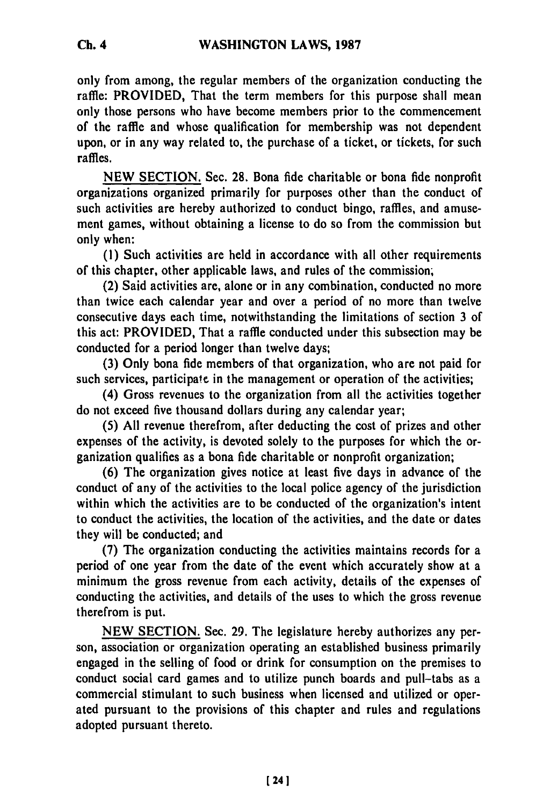only from among, the regular members of the organization conducting the raffle: PROVIDED, That the term members for this purpose shall mean only those persons who have become members prior to the commencement of the raffle and whose qualification for membership was not dependent upon, or in any way related to, the purchase of a ticket, or tickets, for such raffles.

NEW SECTION. Sec. 28. Bona fide charitable or bona fide nonprofit organizations organized primarily for purposes other than the conduct of such activities are hereby authorized to conduct bingo, raffles, and amusement games, without obtaining a license to do so from the commission but only when:

(1) Such activities are held in accordance with all other requirements of this chapter, other applicable laws, and rules of the commission,

(2) Said activities are, alone or in any combination, conducted no more than twice each calendar year and over a period of no more than twelve consecutive days each time, notwithstanding the limitations of section 3 of this act: PROVIDED, That a raffle conducted under this subsection may be conducted for a period longer than twelve days;

(3) Only bona fide members of that organization, who are not paid for such services, participate in the management or operation of the activities;

(4) Gross revenues to the organization from all the activities together do not exceed five thousand dollars during any calendar year;

(5) All revenue therefrom, after deducting the cost of prizes and other expenses of the activity, is devoted solely to the purposes for which the organization qualifies as a bona fide charitable or nonprofit organization;

(6) The organization gives notice at least five days in advance of the conduct of any of the activities to the local police agency of the jurisdiction within which the activities are to be conducted of the organization's intent to conduct the activities, the location of the activities, and the date or dates they will be conducted; and

(7) The organization conducting the activities maintains records for a period of one year from the date of the event which accurately show at a minimum the gross revenue from each activity, details of the expenses of conducting the activities, and details of the uses to which the gross revenue therefrom is put.

NEW SECTION. See. 29. The legislature hereby authorizes any person, association or organization operating an established business primarily engaged in the selling of food or drink for consumption on the premises to conduct social card games and to utilize punch boards and pull-tabs as a commercial stimulant to such business when licensed and utilized or operated pursuant to the provisions of this chapter and rules and regulations adopted pursuant thereto.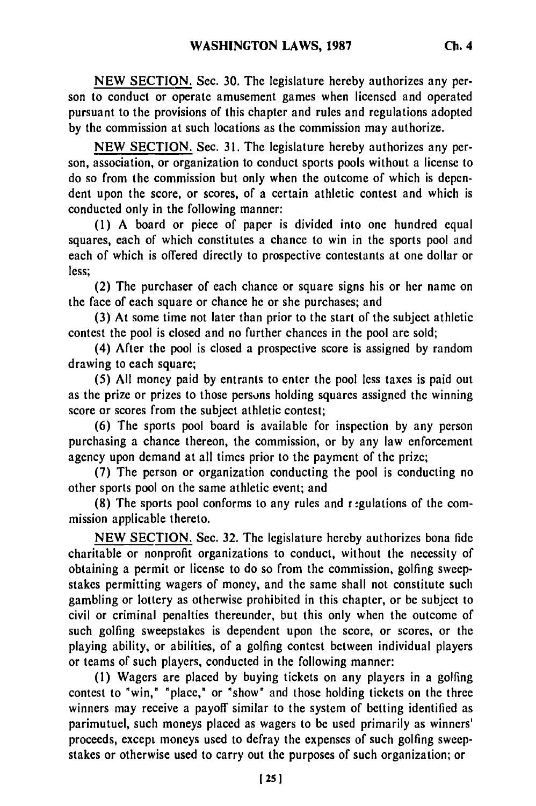NEW SECTION. Sec. **30.** The legislature hereby authorizes any person to conduct or operate amusement games when licensed and operated pursuant to the provisions of this chapter and rules and regulations adopted by the commission at such locations as the commission may authorize.

NEW SECTION. Sec. 31. The legislature hereby authorizes any person, association, or organization to conduct sports pools without a license to do so from the commission but only when the outcome of which is dependent upon the score, or scores, of a certain athletic contest and which is conducted only in the following manner:

(1) A board or piece of paper is divided into one hundred equal squares, each of which constitutes a chance to win in the sports pool and each of which is offered directly to prospective contestants at one dollar or less;

(2) The purchaser of each chance or square signs his or her name on the face of each square or chance he or she purchases; and

(3) At some time not later than prior to the start of the subject athletic contest the pool is closed and no further chances in the pool are sold;

(4) After the pool is closed a prospective score is assigned by random drawing to each square;

(5) All money paid by entrants to enter the pool less taxes is paid out as the prize or prizes to those persons holding squares assigned the winning score or scores from the subject athletic contest;

(6) The sports pool board is available for inspection by any person purchasing a chance thereon, the commission, or by any law enforcement agency upon demand at all times prior to the payment of the prize;

(7) The person or organization conducting the pool is conducting no other sports pool on the same athletic event; and

(8) The sports pool conforms to any rules and r-gulations of the commission applicable thereto.

NEW SECTION. Sec. 32. The legislature hereby authorizes bona fide charitable or nonprofit organizations to conduct, without the necessity of obtaining a permit or license to do so from the commission, golfing sweepstakes permitting wagers of money, and the same shall not constitute such gambling or lottery as otherwise prohibited in this chapter, or be subject to civil or criminal penalties thereunder, but this only when the outcome of such golfing sweepstakes is dependent upon the score, or scores, or the playing ability, or abilities, of a golfing contest between individual players or teams of such players, conducted in the following manner:

(1) Wagers are placed by buying tickets on any players in a golfing contest to "win," "place," or "show" and those holding tickets on the three winners may receive a payoff similar to the system of betting identified as parimutuel, such moneys placed as wagers to be used primarily as winners' proceeds, except moneys used to defray the expenses of such golfing sweepstakes or otherwise used to carry out the purposes of such organization; or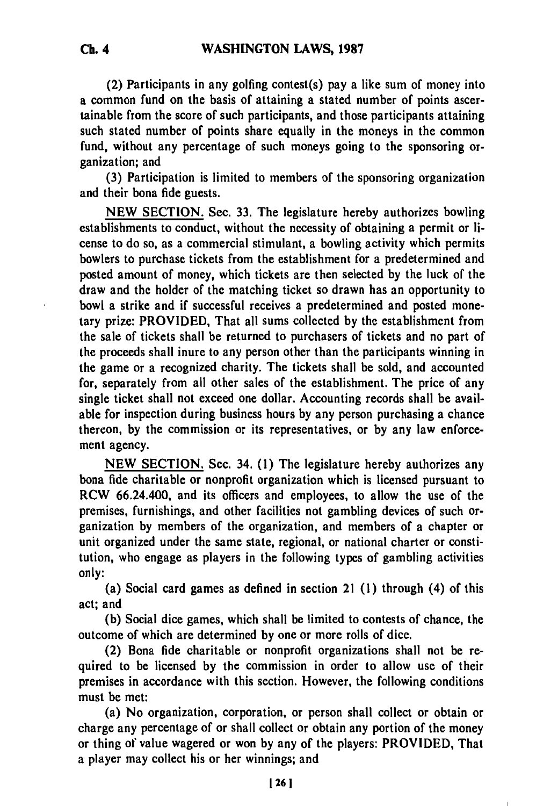(2) Participants in any golfing contest(s) pay a like sum of money into a common fund on the basis of attaining a stated number of points ascertainable from the score of such participants, and those participants attaining such stated number of points share equally in the moneys in the common fund, without any percentage of such moneys going to the sponsoring organization; and

**(3)** Participation is limited to members of the sponsoring organization and their bona fide guests.

**NEW** SECTION. Sec. 33. The legislature hereby authorizes bowling establishments to conduct, without the necessity of obtaining a permit or license to do so, as a commercial stimulant, a bowling activity which permits bowlers to purchase tickets from the establishment for a predetermined and posted amount of money, which tickets are then selected **by** the luck of the draw and the holder of the matching ticket so drawn has an opportunity to bowl a strike and if successful receives a predetermined and posted monetary prize: PROVIDED, That all sums collected **by** the establishment from the sale of tickets shall be returned to purchasers of tickets and no part of the proceeds shall inure to any person other than the participants winning in the game or a recognized charity. The tickets shall be sold, and accounted for, separately from all other sales of the establishment. The price of any single ticket shall not exceed one dollar. Accounting records shall be available for inspection during business hours **by** any person purchasing a chance thereon, **by** the commission or its representatives, or **by** any law enforcement agency.

**NEW** SECTION. Sec. 34. (1) The legislature hereby authorizes any bona fide charitable or nonprofit organization which is licensed pursuant to RCW 66.24.400, and its officers and employees, to allow the use of the premises, furnishings, and other facilities not gambling devices of such organization **by** members of the organization, and members of a chapter or unit organized under the same state, regional, or national charter or constitution, who engage as players in the following types of gambling activities only:

(a) Social card games as defined in section 21 **(1)** through (4) of this act; and

**(b)** Social dice games, which shall be limited to contests of chance, the outcome of which are determined by one or more rolls of dice.

(2) Bona fide charitable or nonprofit organizations shall not be required to be licensed **by** the commission in order to allow use of their premises in accordance with this section. However, the following conditions must be met:

(a) No organization, corporation, or person shall collect or obtain or charge any percentage of or shall collect or obtain any portion of the money or thing **of** value wagered or won **by** any of the players: PROVIDED, That a player may collect his or her winnings; and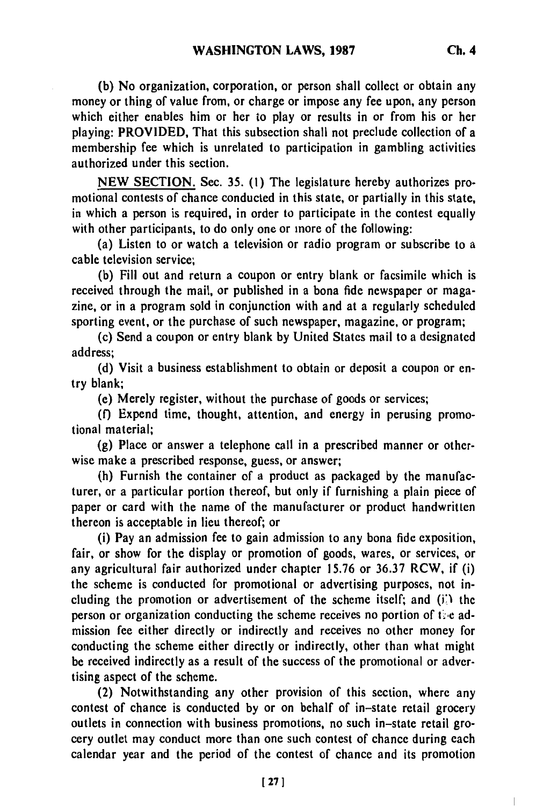**(b)** No organization, corporation, or person shall collect or obtain any money or thing of value from, or charge or impose any fee upon, any person which either enables him or her to play or results in or from his or her playing: PROVIDED, That this subsection shall not preclude collection of a membership fee which is unrelated to participation in gambling activities authorized under this section.

**NEW** SECTION. Sec. **35. (1)** The legislature hereby authorizes promotional contests of chance conducted in this state, or partially in this state, in which a person is required, in order to participate in the contest equally with other participants, to do only one or more of the following:

(a) Listen to or watch a television or radio program or subscribe to a cable television service;

**(b)** Fill out and return a coupon or entry blank or facsimile which is received through the mail, or published in a bona fide newspaper or magazine, or in a program sold in conjunction with and at a regularly scheduled sporting event, or the purchase of such newspaper, magazine, or program;

(c) Send a coupon or entry blank **by** United States mail to a designated address;

**(d)** Visit a business establishment to obtain or deposit a coupon or entry blank;

(e) Merely register, without the purchase of goods or services;

**(f)** Expend time, thought, attention, and energy in perusing promotional material;

**(g)** Place or answer a telephone call in a prescribed manner or otherwise make a prescribed response, guess, or answer;

(h) Furnish the container of a product as packaged **by** the manufacturer, or a particular portion thereof, but only if furnishing a plain piece of paper or card with the name of the manufacturer or product handwritten thereon is acceptable in lieu thereof; or

(i) Pay an admission fee to gain admission to any bona **fide** exposition, fair, or show for the display or promotion of goods, wares, or services, or any agricultural fair authorized under chapter **15.76** or 36.37 RCW, if (i) the scheme is conducted for promotional or advertising purposes, not including the promotion or advertisement of the scheme itself; and (ii) the person or organization conducting the scheme receives no portion of the admission fee either directly or indirectly and receives no other money for conducting the scheme either directly or indirectly, other than what might be received indirectly as a result of the success of the promotional or advertising aspect of the scheme.

(2) Notwithstanding any other provision of this section, where any contest of chance is conducted **by** or on behalf of in-state retail grocery outlets in connection with business promotions, no such in-state retail grocery outlet may conduct more than one such contest of chance during each calendar year and the period of the contest of chance and its promotion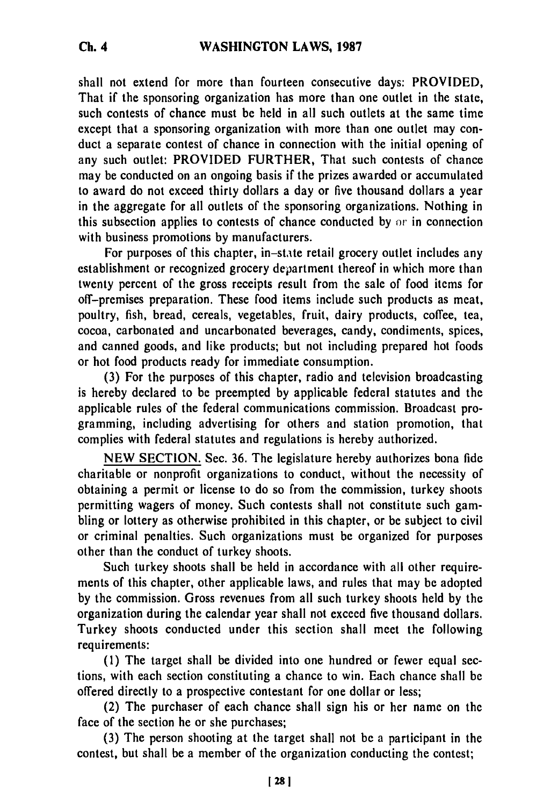shall not extend for more than fourteen consecutive days: PROVIDED, That if the sponsoring organization has more than one outlet in the state, such contests of chance must be held in all such outlets at the same time except that a sponsoring organization with more than one outlet may conduct a separate contest of chance in connection with the initial opening of any such outlet: PROVIDED FURTHER, That such contests of chance may be conducted on an ongoing basis if the prizes awarded or accumulated to award do not exceed thirty dollars a day or five thousand dollars a year in the aggregate for all outlets of the sponsoring organizations. Nothing in this subsection applies to contests of chance conducted by  $\alpha r$  in connection with business promotions by manufacturers.

For purposes of this chapter, in-state retail grocery outlet includes any establishment or recognized grocery department thereof in which more than twenty percent of the gross receipts result from the sale of food items for off-premises preparation. These food items include such products as meat, poultry, fish, bread, cereals, vegetables, fruit, dairy products, coffee, tea, cocoa, carbonated and uncarbonated beverages, candy, condiments, spices, and canned goods, and like products; but not including prepared hot foods or hot food products ready for immediate consumption.

(3) For the purposes of this chapter, radio and television broadcasting is hereby declared to be preempted by applicable federal statutes and the applicable rules of the federal communications commission. Broadcast programming, including advertising for others and station promotion, that complies with federal statutes and regulations is hereby authorized.

NEW SECTION. Sec. 36. The legislature hereby authorizes bona fide charitable or nonprofit organizations to conduct, without the necessity of obtaining a permit or license to do so from the commission, turkey shoots permitting wagers of money. Such contests shall not constitute such gambling or lottery as otherwise prohibited in this chapter, or be subject to civil or criminal penalties. Such organizations must be organized for purposes other than the conduct of turkey shoots.

Such turkey shoots shall be held in accordance with all other requirements of this chapter, other applicable laws, and rules that may be adopted by the commission. Gross revenues from all such turkey shoots held by the organization during the calendar year shall not exceed five thousand dollars. Turkey shoots conducted under this section shall meet the following requirements:

(1) The target shall be divided into one hundred or fewer equal sections, with each section constituting a chance to win. Each chance shall be offered directly to a prospective contestant for one dollar or less;

(2) The purchaser of each chance shall sign his or her name on the face of the section he or she purchases;

(3) The person shooting at the target shall not be a participant in the contest, but shall be a member of the organization conducting the contest;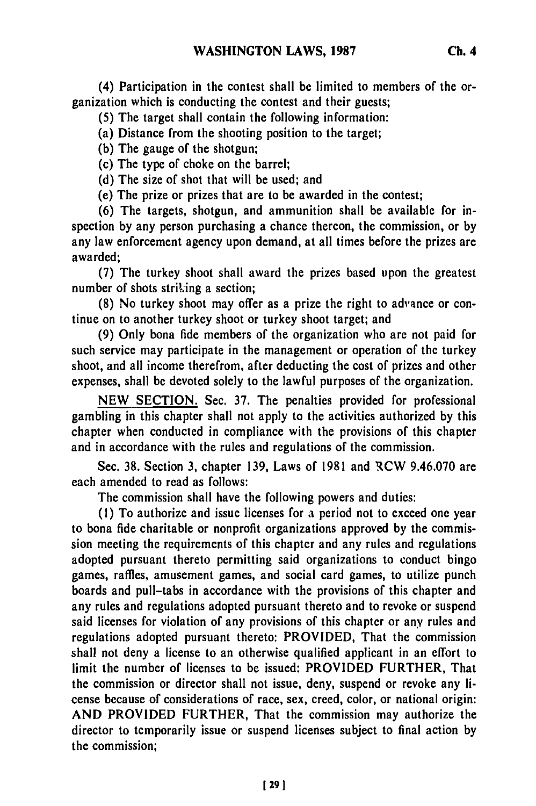(4) Participation in the contest shall be limited to members of the organization which is conducting the contest and their guests;

**(5)** The target shall contain the following information:

(a) Distance from the shooting position to the target;

**(b)** The gauge of the shotgun;

(c) The type of choke on the barrel;

**(d)** The size of shot that will be used; and

(e) The prize or prizes that are to be awarded in the contest;

**(6)** The targets, shotgun, and ammunition shall **be** available for inspection **by** any person purchasing a chance thereon, the commission, or **by** any law enforcement agency upon demand, at all times before the prizes are awarded;

**(7)** The turkey shoot shall award the prizes based upon the greatest number of shots striking a section;

**(8)** No turkey shoot may offer as a prize the right to advance or continue on to another turkey shoot or turkey shoot target; and

**(9)** Only bona fide members of the organization who are not paid for such service may participate in the management or operation of the turkey shoot, and all income therefrom, after deducting the cost of prizes and other expenses, shall be devoted solely to the lawful purposes of the organization.

**NEW SECTION.** Sec. **37.** The penalties provided for professional gambling in this chapter shall not apply to the activities authorized **by** this chapter when conducted in compliance with the provisions of this chapter and in accordance with the rules and regulations of the commission.

Sec. **38.** Section **3,** chapter **139,** Laws of **1981** and RCW **9.46.070** are each amended to read as follows:

The commission shall have the following powers and duties:

**(1)** To authorize and issue licenses for a period not to exceed one year to bona fide charitable or nonprofit organizations approved **by** the commission meeting the requirements of this chapter and any rules and regulations adopted pursuant thereto permitting said organizations to conduct bingo games, raffles, amusement games, and social card games, to utilize punch boards and pull-tabs in accordance with the provisions of this chapter and any rules and regulations adopted pursuant thereto and to revoke or suspend said licenses for violation of any provisions of this chapter or any rules and regulations adopted pursuant thereto: PROVIDED, That the commission shall not deny a license to an otherwise qualified applicant in an effort to limit the number of licenses to be issued: PROVIDED FURTHER, That the commission or director shall not issue, deny, suspend or revoke any license because of considerations of race, sex, creed, color, or national origin: **AND** PROVIDED FURTHER, That the commission may authorize the director to temporarily issue or suspend licenses subject to final action **by** the commission;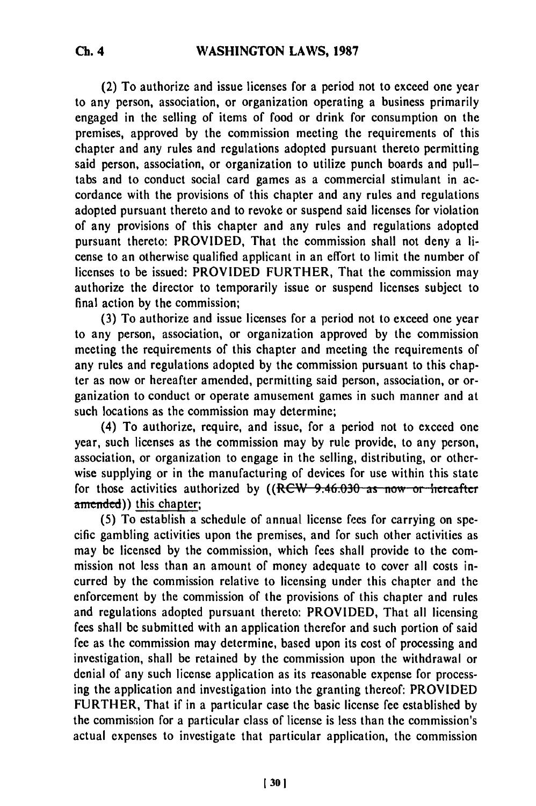(2) To authorize and issue licenses for a period not to exceed one year to any person, association, or organization operating a business primarily engaged in the selling of items of food or drink for consumption on the premises, approved **by** the commission meeting the requirements **of** this chapter and any rules and regulations adopted pursuant thereto permitting said person, association, or organization to utilize punch boards and pulltabs and to conduct social card games as a commercial stimulant in accordance with the provisions of this chapter and any rules and regulations adopted pursuant thereto and to revoke or suspend said licenses for violation of any provisions of this chapter and any rules and regulations adopted pursuant thereto: PROVIDED, That the commission shall not deny a license to an otherwise qualified applicant in an effort to limit the number of licenses to be issued: PROVIDED FURTHER, That the commission may authorize the director to temporarily issue or suspend licenses subject to final action **by** the commission;

**(3)** To authorize and issue licenses for a period not to exceed one year to any person, association, or organization approved **by** the commission meeting the requirements of this chapter and meeting the requirements of any rules and regulations adopted **by** the commission pursuant to this chapter as now or hereafter amended, permitting said person, association, or organization to conduct or operate amusement games in such manner and at such locations as the commission may determine;

(4) To authorize, require, and issue, for a period not to exceed one year, such licenses as the commission may **by** rule provide, to any person, association, or organization to engage in the selling, distributing, or otherwise supplying or in the manufacturing of devices for use within this state for those activities authorized by ((RCW 9.46.030 as now or hereafter amended)) this chapter;

**(5)** To establish a schedule of annual license fees for carrying on specific gambling activities upon the premises, and for such other activities as may be licensed **by** the commission, which fees shall provide to the commission not less than an amount of money adequate to cover all costs incurred **by** the commission relative to licensing under this chapter and the enforcement **by** the commission of the provisions of this chapter and rules and regulations adopted pursuant thereto: PROVIDED, That all licensing fees shall be submitted with an application therefor and such portion of said **fee** as the commission may determine, based upon its cost of processing and investigation, shall be retained **by** the commission upon the withdrawal or denial of any such license application as its reasonable expense for processing the application and investigation into the granting thereof: PROVIDED FURTHER, That if in a particular case the basic license **fee** established **by** the commission for a particular class of license is less than the commission's actual expenses to investigate that particular application, the commission

**Ch. 4**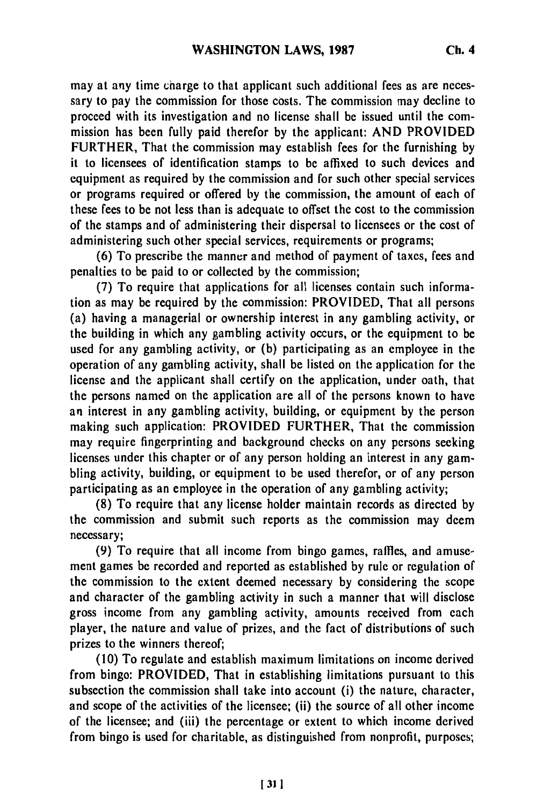may at any time charge to that applicant such additional fees as are necessary to pay the commission for those costs. The commission may decline to proceed with its investigation and no license shall be issued until the commission has been fully paid therefor by the applicant: AND PROVIDED FURTHER, That the commission may establish fees for the furnishing by it to licensees of identification stamps to be affixed to such devices and equipment as required by the commission and for such other special services or programs required or offered by the commission, the amount of each of these fees to be not less than is adequate to offset the cost to the commission of the stamps and of administering their dispersal to licensees or the cost of administering such other special services, requirements or programs;

(6) To prescribe the manner and method of payment of taxes, fees and penalties to be paid to or collected by the commission;

(7) To require that applications for all licenses contain such information as may be required by the commission: PROVIDED, That all persons (a) having a managerial or ownership interest in any gambling activity, or the building in which any gambling activity occurs, or the equipment to be used for any gambling activity, or (b) participating as an employee in the operation of any gambling activity, shall be listed on the application for the license and the applicant shall certify on the application, under oath, that the persons named on the application are all of the persons known to have an interest in any gambling activity, building, or equipment by the person making such application: PROVIDED FURTHER, That the commission may require fingerprinting and background checks on any persons seeking licenses under this chapter or of any person holding an interest in any gambling activity, building, or equipment to be used therefor, or of any person participating as an employee in the operation of any gambling activity;

(8) To require that any license holder maintain records as directed by the commission and submit such reports as the commission may deem necessary;

(9) To require that all income from bingo games, raffles, and amusement games be recorded and reported as established by rule or regulation of the commission to the extent deemed necessary by considering the scope and character of the gambling activity in such a manner that will disclose gross income from any gambling activity, amounts received from each player, the nature and value of prizes, and the fact of distributions of such prizes to the winners thereof;

(10) To regulate and establish maximum limitations on income derived from bingo: PROVIDED, That in establishing limitations pursuant to this subsection the commission shall take into account (i) the nature, character, and scope of the activities of the licensee; (ii) the source of all other income of the licensee; and (iii) the percentage or extent to which income derived from bingo is used for charitable, as distinguished from nonprofit, purposes;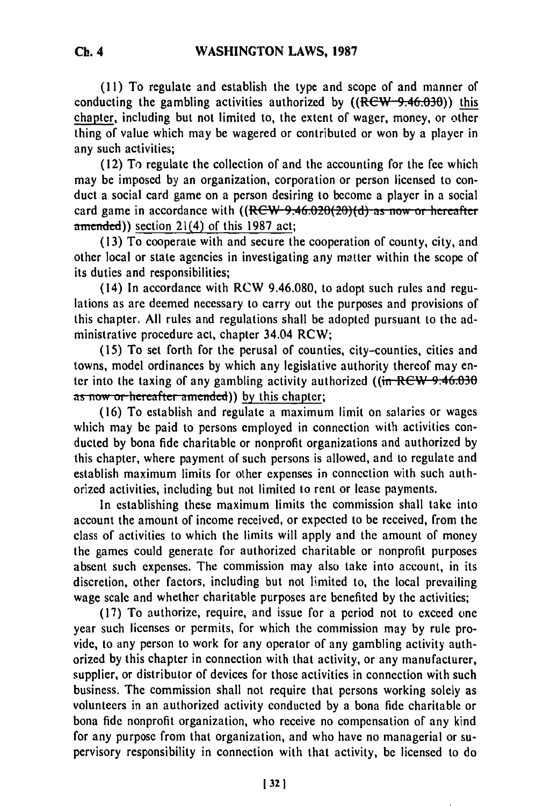**(11)** To regulate and establish the type and scope of and manner of conducting the gambling activities authorized **by** ((RCW 9.46.030)) this chapter, including but not limited to, the extent of wager, money, or other thing of value which may be wagered or contributed or won **by** a player in any such activities;

**(12)** To regulate the collection of and the accounting for the **fee** which may be imposed **by** an organization, corporation or person licensed to conduct a social card game on a person desiring to become a player in a social card game in accordance with ((RCW 9.46.020(20)(d) as now or hereafter  $a$ mended)) section 21(4) of this 1987 act;

(13) To cooperate with and secure the cooperation of county, city, and other local or state agencies in investigating any matter within the scope of its duties and responsibilities;

(14) In accordance with RCW 9.46.080, to adopt such rules and regulations as are deemed necessary to carry out the purposes and provisions of this chapter. All rules and regulations shall be adopted pursuant to the administrative procedure act, chapter 34.04 RCW;

(15) To set forth for the perusal of counties, city-counties, cities and towns, model ordinances by which any legislative authority thereof may enter into the taxing of any gambling activity authorized ( $(i \pi \text{RCW} - 9.46.030$ as now or hereafter amended)) by this chapter;

(16) To establish and regulate a maximum limit on salaries or wages which may be paid to persons employed in connection with activities conducted by bona fide charitable or nonprofit organizations and authorized by this chapter, where payment of such persons is allowed, and to regulate and establish maximum limits for other expenses in connection with such authorized activities, including but not limited to rent or lease payments.

In establishing these maximum limits the commission shall take into account the amount of income received, or expected to be received, from the class of activities to which the limits will apply and the amount of money the games could generate for authorized charitable or nonprofit purposes absent such expenses. The commission may also take into account, in its discretion, other factors, including but not limited to, the local prevailing wage scale and whether charitable purposes are benefited by the activities:

(17) To authorize, require, and issue for a period not to exceed one year such licenses or permits, for which the commission may by rule provide, to any person to work for any operator of any gambling activity authorized by this chapter in connection with that activity, or any manufacturer, supplier, or distributor of devices for those activities in connection with such business. The commission shall not require that persons working solely as volunteers in an authorized activity conducted by a bona fide charitable or bona fide nonprofit organization, who receive no compensation of any kind for any purpose from that organization, and who have no managerial or supervisory responsibility in connection with that activity, be licensed to do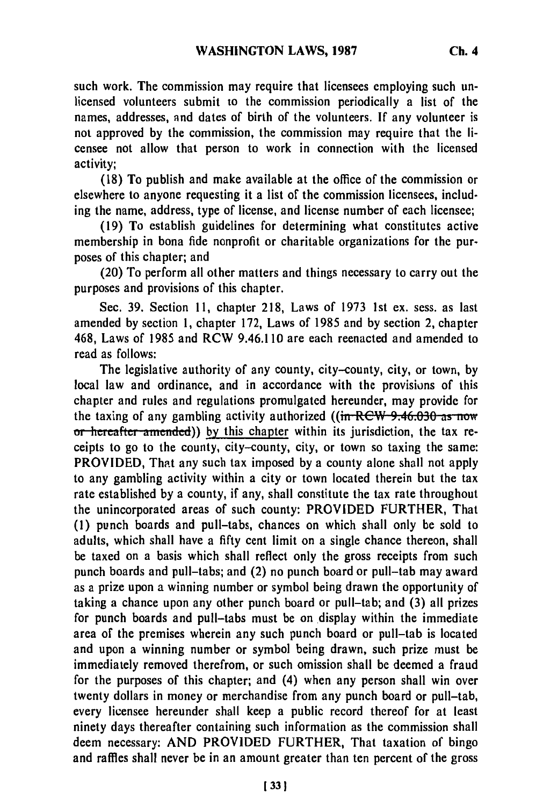such work. The commission may require that licensees employing such unlicensed volunteers submit to the commission periodically a list of the names, addresses, and dates of birth of the volunteers. **If** any volunteer is not approved by the commission, the commission may require that the licensee not allow that person to work in connection with the licensed activity;

(18) To publish and make available at the office of the commission or elsewhere to anyone requesting it a list of the commission licensees, including the name, address, type of license, and license number of each licensee;

(19) To establish guidelines for determining what constitutes active membership in bona fide nonprofit or charitable organizations for the purposes of this chapter; and

(20) To perform all other matters and things necessary to carry out the purposes and provisions of this chapter.

Sec. 39. Section 11, chapter 218, Laws of 1973 1st ex. sess. as last amended **by** section **1,** chapter 172, Laws of 1985 and by section 2, chapter 468, Laws of 1985 and RCW 9.46.110 are each reenacted and amended to read as follows:

The legislative authority of any county, city-county, city, or town, by local law and ordinance, and in accordance with the provisions of this chapter and rules and regulations promulgated hereunder, may provide for the taxing of any gambling activity authorized  $((\text{in } R\text{CW } 9.46.030 \text{ as now})$ or hereafter amended)) by this chapter within its jurisdiction, the tax receipts to go to the county, city-county, city, or town so taxing the same: PROVIDED, That any such tax imposed by a county alone shall not apply to any gambling activity within a city or town located therein but the tax rate established by a county, if any, shall constitute the tax rate throughout the unincorporated areas of such county: PROVIDED FURTHER, That (1) punch boards and pull-tabs, chances on which shall only be sold to adults, which shall have a fifty cent limit on a single chance thereon, shall be taxed on a basis which shall reflect only the gross receipts from such punch boards and pull-tabs; and (2) no punch board or pull-tab may award as a prize upon a winning number or symbol being drawn the opportunity of taking a chance upon any other punch board or pull-tab; and (3) all prizes for punch boards and pull-tabs must be on display within the immediate area of the premises wherein any such punch board or pull-tab is located and upon a winning number or symbol being drawn, such prize must be immediately removed therefrom, or such omission shall be deemed a fraud for the purposes of this chapter; and (4) when any person shall win over twenty dollars in money or merchandise from any punch board or pull-tab, every licensee hereunder shall keep a public record thereof for at least ninety days thereafter containing such information as the commission shall deem necessary: AND PROVIDED FURTHER, That taxation of bingo and raffles shall never be in an amount greater than ten percent of the gross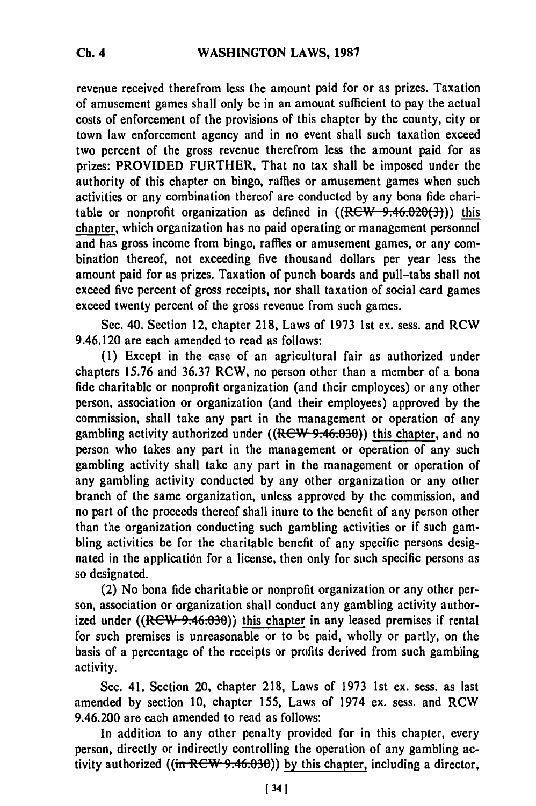revenue received therefrom less the amount paid for or as prizes. Taxation of amusement games shall only be in an amount sufficient to pay the actual **costs** of enforcement of the provisions of this chapter **by** the county, city or town law enforcement agency and in no event shall such taxation exceed two percent of the gross revenue therefrom less the amount paid for as prizes: PROVIDED FURTHER, That no tax shall be imposed under the authority of this chapter on bingo, raffles or amusement games when such activities or any combination thereof are conducted **by** any bona fide charitable or nonprofit organization as defined in  $((Rew-9.46.020(3)))$  this chapter, which organization has no paid operating or management personnel and has gross income from bingo, raffles or amusement games, or any combination thereof, not exceeding five thousand dollars per year less the amount paid for as prizes. Taxation of punch boards and pull-tabs shall not exceed five percent of gross receipts, nor shall taxation of social card games exceed twenty percent of the gross revenue from such games.

Sec. 40. Section 12, chapter **218,** Laws of **1973 1st** ex. sess. and RCW 9.46.120 are each amended to read as follows:

**(1)** Except in the case of an agricultural fair as authorized under chapters **15.76** and **36.37** RCW, no person other than a member of a bona fide charitable or nonprofit organization (and their employees) or any other person, association or organization (and their employees) approved **by** the commission, shall take any part in the management or operation of any gambling activity authorized under  $((Rew 9.46.030))$  this chapter, and no person who takes any part in the management or operation of any such gambling activity shall take any part in the management or operation of any gambling activity conducted **by** any other organization or any other branch of the same organization, unless approved **by** the commission, and no part of the proceeds thereof shall inure to the benefit of any person other than the organization conducting such gambling activities or if such gambling activities be for the charitable benefit of any specific persons designated in the application for a license, then only for such specific persons as so designated.

(2) No bona fide charitable or nonprofit organization or any other person, association or organization shall conduct any gambling activity authorized under  $((RCW-9.46.030))$  this chapter in any leased premises if rental for such premises is unreasonable or to be paid, wholly or partly, on the basis of a percentage of the receipts or profits derived from such gambling activity.

Sec. 41. Section 20, chapter **218,** Laws of **1973 1st** ex. sess. as last amended **by** section **10,** chapter **155,** Laws of 1974 ex. sess. and RCW 9.46.200 are each amended to read as follows:

In addition to any other penalty provided for in this chapter, every person, directly or indirectly controlling the operation of any gambling activity authorized ((in RCW 9.46.030)) by this chapter, including a director,

**[341**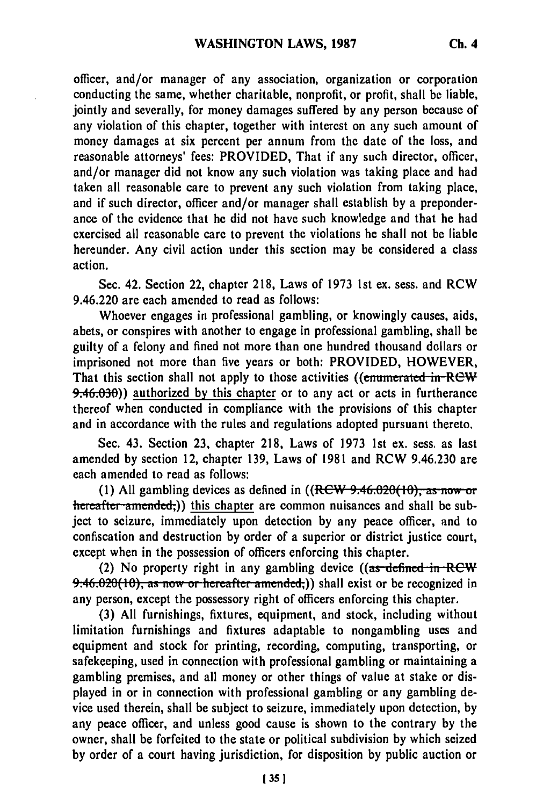officer, and/or manager of any association, organization or corporation conducting the same, whether charitable, nonprofit, or profit, shall **be** liable, jointly and severally, for money damages suffered by any person because of any violation of this chapter, together with interest on any such amount of money damages at six percent per annum from the date of the loss, and reasonable attorneys' fees: PROVIDED, That if any such director, officer, and/or manager did not know any such violation was taking place and had taken all reasonable care to prevent any such violation from taking place, and if such director, officer and/or manager shall establish by a preponderance of the evidence that he did not have such knowledge and that he had exercised all reasonable care to prevent the violations he shall not be liable hereunder. Any civil action under this section may be considered a class action.

Sec. 42. Section 22, chapter 218, Laws of 1973 1st ex. sess. and RCW 9.46.220 are each amended to read as follows:

Whoever engages in professional gambling, or knowingly causes, aids, abets, or conspires with another to engage in professional gambling, shall be guilty of a felony and fined not more than one hundred thousand dollars or imprisoned not more than five years or both: PROVIDED, HOWEVER, That this section shall not apply to those activities ((**enumerated in-REW**) 9.46.90)) authorized **by** this chapter or to any act or acts in furtherance thereof when conducted in compliance with the provisions of this chapter and in accordance with the rules and regulations adopted pursuant thereto.

Sec. 43. Section 23, chapter 218, Laws of 1973 1st ex. sess. as last amended by section 12, chapter 139, Laws of 1981 and RCW 9.46.230 are each amended to read as follows:

(1) All gambling devices as defined in ((RCW 9.46.020(10), as now or hereafter amended,)) this chapter are common nuisances and shall be subject to seizure, immediately upon detection by any peace officer, and to confiscation and destruction by order of a superior or district justice court, except when in the possession of officers enforcing this chapter.

(2) No property right in any gambling device ((as defined in RCW 9:46.020(10), as now or hereafter amended;)) shall exist or be recognized in any person, except the possessory right of officers enforcing this chapter.

(3) All furnishings, fixtures, equipment, and stock, including without limitation furnishings and fixtures adaptable to nongambling uses and equipment and stock for printing, recording, computing, transporting, or safekeeping, used in connection with professional gambling or maintaining a gambling premises, and all money or other things of value at stake or displayed in or in connection with professional gambling or any gambling device used therein, shall be subject to seizure, immediately upon detection, by any peace officer, and unless good cause is shown to the contrary by the owner, shall be forfeited to the state or political subdivision by which seized by order of a court having jurisdiction, for disposition by public auction or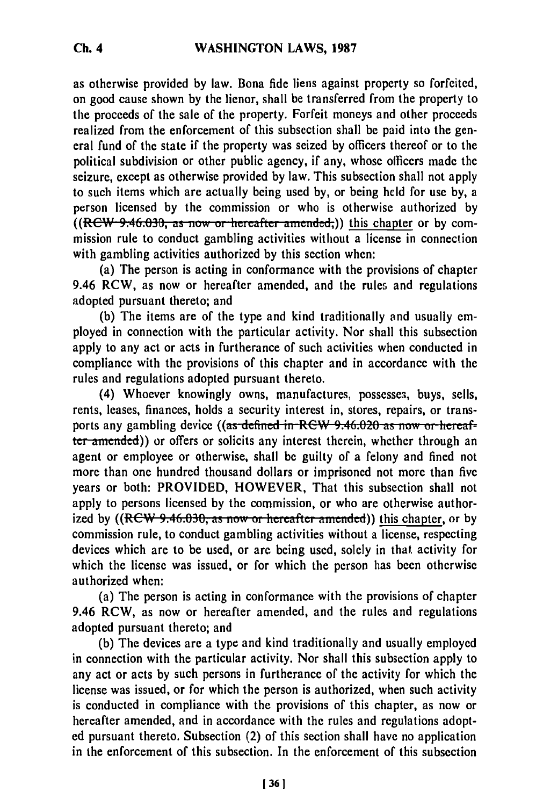as otherwise provided **by** law. Bona fide liens against property so forfeited, on good cause shown by the lienor, shall be transferred from the property to the proceeds of the sale of the property. Forfeit moneys and other proceeds realized from the enforcement of this subsection shall be paid into the general fund of the state if the property was seized by officers thereof or to the political subdivision or other public agency, if any, whose officers made the seizure, except as otherwise provided by law. This subsection shall not apply to such items which are actually being used by, or being held for use by, a person licensed by the commission or who is otherwise authorized by ((RCW 9.46.030, as now or hereafter amended;)) this chapter or by commission rule to conduct gambling activities without a license in connection with gambling activities authorized by this section when:

(a) The person is acting in conformance with the provisions of chapter 9.46 RCW, as now or hereafter amended, and the rules and regulations adopted pursuant thereto; and

**(b)** The items are of the type and kind traditionally and usually employed in connection with the particular activity. Nor shall this subsection apply to any act or acts in furtherance of such activities when conducted in compliance with the provisions of this chapter and in accordance with the rules and regulations adopted pursuant thereto.

(4) Whoever knowingly owns, manufactures, possesses, buys, sells, rents, leases, finances, holds a security interest in, stores, repairs, or transports any gambling device ((as-defined in RCW 9.46.020 as now or hereafter amended)) or offers or solicits any interest therein, whether through an agent or employee or otherwise, shall be guilty of a felony and fined not more than one hundred thousand dollars or imprisoned not more than five years or both: PROVIDED, HOWEVER, That this subsection shall not apply to persons licensed by the commission, or who are otherwise authorized by ((RCW 9.46.030, as now or hereafter amended)) this chapter, or by commission rule, to conduct gambling activities without a license, respecting devices which are to be used, or are being used, solely in that activity for which the license was issued, or for which the person has been otherwise authorized when:

(a) The person is acting in conformance with the provisions of chapter 9.46 RCW, as now or hereafter amended, and the rules and regulations adopted pursuant thereto; and

(b) The devices are a type and kind traditionally and usually employed in connection with the particular activity. Nor shall this subsection apply to any act or acts by such persons in furtherance of the activity for which the license was issued, or for which the person is authorized, when such activity is conducted in compliance with the provisions of this chapter, as now or hereafter amended, and in accordance with the rules and regulations adopted pursuant thereto. Subsection (2) of this section shall have no application in the enforcement of this subsection. In the enforcement of this subsection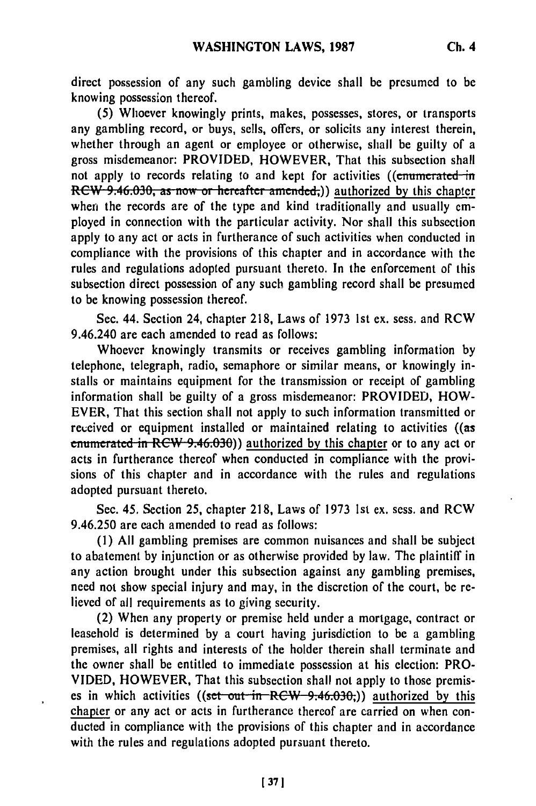direct possession of any such gambling device shall be presumed to be knowing possession thereof.

**(5)** Whoever knowingly prints, makes, possesses, stores, or transports any gambling record, or buys, sells, offers, or solicits any interest therein, whether through an agent or employee or otherwise, shall be guilty of a gross misdemeanor: PROVIDED, HOWEVER, That this subsection shall not apply to records relating to and kept for activities ((enumerated in **RCW 9.46.030, as now or hereafter amended;)) authorized by this chapter** when the records are of the type and kind traditionally and usually employed in connection with the particular activity. Nor shall this subsection apply to any act or acts in furtherance of such activities when conducted in compliance with the provisions of this chapter and in accordance with the rules and regulations adopted pursuant thereto. In the enforcement of this subsection direct possession of any such gambling record shall be presumed to be knowing possession thereof.

Sec. 44. Section 24, chapter **218,** Laws of **1973** 1st ex. sess. and RCW 9.46.240 are each amended to read as follows:

Whoever knowingly transmits or receives gambling information **by** telephone, telegraph, radio, semaphore or similar means, or knowingly installs or maintains equipment for the transmission or receipt of gambling information shall be guilty of a gross misdemeanor: PROVIDED, HOW-EVER, That this section shall not apply to such information transmitted or received or equipment installed or maintained relating to activities ((as **enumerated in RCW 9.46.030)) authorized by this chapter or to any act or** acts in furtherance thereof when conducted in compliance with the provisions of this chapter and in accordance with the rules and regulations adopted pursuant thereto.

Sec. 45. Section 25, chapter 218, Laws of 1973 1st ex. sess. and RCW 9.46.250 are each amended to read as follows:

(1) **All** gambling premises are common nuisances and shall be subject to abatement by injunction or as otherwise provided by law. The plaintiff in any action brought under this subsection against any gambling premises, need not show special injury and may, in the discretion of the court, be relieved of all requirements as to giving security.

(2) When any property or premise held under a mortgage, contract or leasehold is determined by a court having jurisdiction to be a gambling premises, all rights and interests of the holder therein shall terminate and the owner shall be entitled to immediate possession at his election: PRO-VIDED, HOWEVER, That this subsection shall not apply to those premises in which activities ((set out in RCW 9:46.030;)) authorized by this chapter or any act or acts in furtherance thereof are carried on when conducted in compliance with the provisions of this chapter and in accordance with the rules and regulations adopted pursuant thereto.